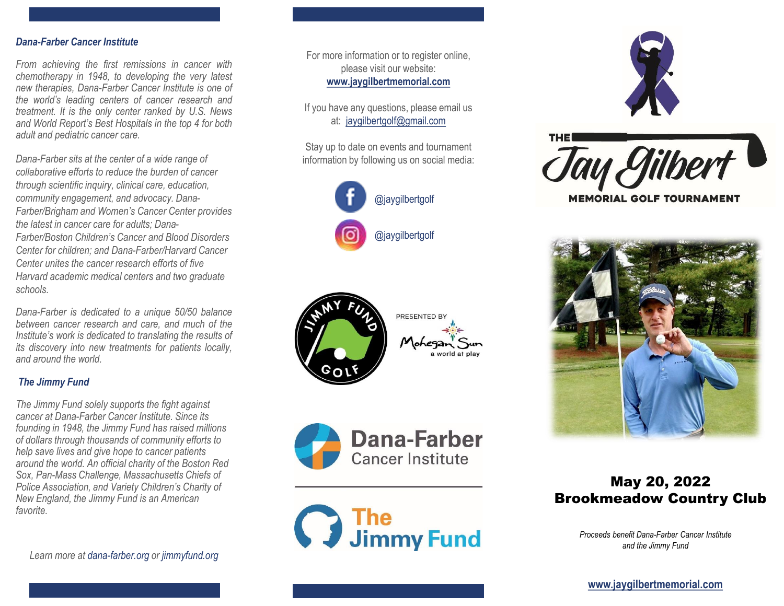## *Dana-Farber Cancer Institute*

*From achieving the first remissions in cancer with chemotherapy in 1948, to developing the very latest new therapies, Dana-Farber Cancer Institute is one of the world's leading centers of cancer research and treatment. It is the only center ranked by U.S. News and World Report's Best Hospitals in the top 4 for both adult and pediatric cancer care.*

*Dana-Farber sits at the center of a wide range of collaborative efforts to reduce the burden of cancer through scientific inquiry, clinical care, education, community engagement, and advocacy. Dana-Farber/Brigham and Women's Cancer Center provides the latest in cancer care for adults; Dana-Farber/Boston Children's Cancer and Blood Disorders Center for children; and Dana-Farber/Harvard Cancer Center unites the cancer research efforts of five Harvard academic medical centers and two graduate schools.*

*Dana-Farber is dedicated to a unique 50/50 balance between cancer research and care, and much of the Institute's work is dedicated to translating the results of its discovery into new treatments for patients locally, and around the world.*

## *The Jimmy Fund*

*The Jimmy Fund solely supports the fight against cancer at Dana-Farber Cancer Institute. Since its founding in 1948, the Jimmy Fund has raised millions of dollars through thousands of community efforts to help save lives and give hope to cancer patients around the world. An official charity of the Boston Red Sox, Pan-Mass Challenge, Massachusetts Chiefs of Police Association, and Variety Children's Charity of New England, the Jimmy Fund is an American favorite.*

*Learn more at dana-farber.org or jimmyfund.org*

For more information or to register online, please visit our website: **www.jaygilbertmemorial.com**

If you have any questions, please email us at: [jaygilbertgolf@gmail.com](mailto:jaygilbertgolf@gmail.com)

Stay up to date on events and tournament information by following us on social media:















# May 20, 2022 Brookmeadow Country Club

*Proceeds benefit Dana-Farber Cancer Institute and the Jimmy Fund*